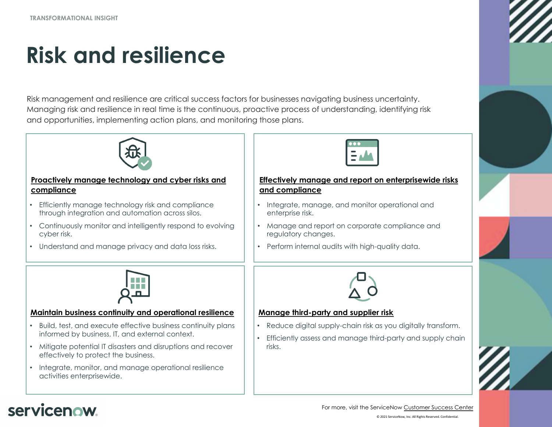**TRANSFORMATIONAL INSIGHT**

# **[Risk and resilience](#page-1-0)**

Risk management and resilience are critical success factors for businesses navigating business uncertainty. Managing risk and resilience in real time is the continuous, proactive process of understanding, identifying risk and opportunities, implementing action plans, and monitoring those plans.



#### **Proactively manage technology and cyber risks and [compliance](#page-3-0)**

- Efficiently manage technology risk and compliance through integration and automation across silos.
- Continuously monitor and intelligently respond to evolving cyber risk.
- Understand and manage privacy and data loss risks.



### **Maintain business continuity and operational resilience**

- Build, test, and execute effective business continuity plans informed by business, IT, and external context.
- Mitigate potential IT disasters and disruptions and recover effectively to protect the business.
- Integrate, monitor, and manage operational resilience activities enterprisewide.



### **Effectively manage and report on enterprisev [and compliance](#page-4-0)**

- Integrate, manage, and monitor operational and enterprise risk.
- Manage and report on corporate compliance regulatory changes.
- Perform internal audits with high-quality data.



### **Manage third-party and supplier risk**

- Reduce digital supply-chain risk as you digitally
- Efficiently assess and manage third-party and supplying risks.

# servicenow.

© 2021 ServiceNow, Inc. All Rights For more, visit the ServiceNow Custome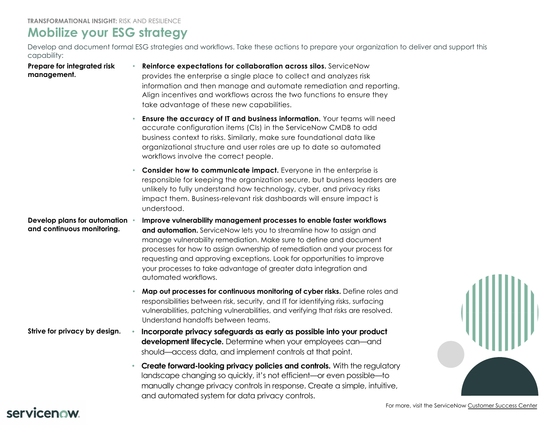## **Mobilize your ESG strategy**

Develop and document formal ESG strategies and workflows. Take these actions to prepare your organization to delive capability:

**Prepare for integrated risk management.** 

- <span id="page-1-0"></span>• **Reinforce expectations for collaboration across silos.** ServiceNow provides the enterprise a single place to collect and analyzes risk information and then manage and automate remediation and reporting. Align incentives and workflows across the two functions to ensure they take advantage of these new capabilities.
- **Ensure the accuracy of IT and business information.** Your teams will need accurate configuration items (CIs) in the ServiceNow CMDB to add business context to risks. Similarly, make sure foundational data like organizational structure and user roles are up to date so automated workflows involve the correct people.
- **Consider how to communicate impact.** Everyone in the enterprise is responsible for keeping the organization secure, but business leaders are unlikely to fully understand how technology, cyber, and privacy risks impact them. Business-relevant risk dashboards will ensure impact is understood.

**Develop plans for automation and continuous monitoring.**  • **Improve vulnerability management processes to enable faster workflows and automation.** ServiceNow lets you to streamline how to assign and manage vulnerability remediation. Make sure to define and document processes for how to assign ownership of remediation and your process for requesting and approving exceptions. Look for opportunities to improve your processes to take advantage of greater data integration and automated workflows.

- **Map out processes for continuous monitoring of cyber risks.** Define roles and responsibilities between risk, security, and IT for identifying risks, surfacing vulnerabilities, patching vulnerabilities, and verifying that risks are resolved. Understand handoffs between teams.
- **Strive for privacy by design. Incorporate privacy safeguards as early as possible into your product development lifecycle.** Determine when your employees can—and should—access data, and implement controls at that point.
	- **Create forward-looking privacy policies and controls.** With the regulatory landscape changing so quickly, it's not efficient—or even possible—to manually change privacy controls in response. Create a simple, intuitive, and automated system for data privacy controls.

# servicenow.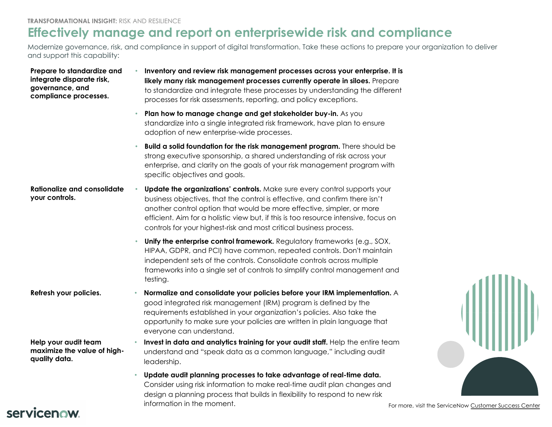# **Effectively manage and report on enterprisewide risk and complic**

Modernize governance, risk, and compliance in support of digital transformation. Take these actions to prepare your o and support this capability:

| Prepare to standardize and<br>integrate disparate risk,<br>governance, and<br>compliance processes. | Inventory and review risk management processes across your enterprise. It is<br>likely many risk management processes currently operate in siloes. Prepare<br>to standardize and integrate these processes by understanding the different<br>processes for risk assessments, reporting, and policy exceptions.                                                                                        |                 |
|-----------------------------------------------------------------------------------------------------|-------------------------------------------------------------------------------------------------------------------------------------------------------------------------------------------------------------------------------------------------------------------------------------------------------------------------------------------------------------------------------------------------------|-----------------|
|                                                                                                     | Plan how to manage change and get stakeholder buy-in. As you<br>standardize into a single integrated risk framework, have plan to ensure<br>adoption of new enterprise-wide processes.                                                                                                                                                                                                                |                 |
|                                                                                                     | Build a solid foundation for the risk management program. There should be<br>strong executive sponsorship, a shared understanding of risk across your<br>enterprise, and clarity on the goals of your risk management program with<br>specific objectives and goals.                                                                                                                                  |                 |
| <b>Rationalize and consolidate</b><br>your controls.                                                | <b>Update the organizations' controls.</b> Make sure every control supports your<br>business objectives, that the control is effective, and confirm there isn't<br>another control option that would be more effective, simpler, or more<br>efficient. Aim for a holistic view but, if this is too resource intensive, focus on<br>controls for your highest-risk and most critical business process. |                 |
|                                                                                                     | Unify the enterprise control framework. Regulatory frameworks (e.g., SOX,<br>HIPAA, GDPR, and PCI) have common, repeated controls. Don't maintain<br>independent sets of the controls. Consolidate controls across multiple<br>frameworks into a single set of controls to simplify control management and<br>testing.                                                                                |                 |
| Refresh your policies.                                                                              | Normalize and consolidate your policies before your IRM implementation. A<br>good integrated risk management (IRM) program is defined by the<br>requirements established in your organization's policies. Also take the<br>opportunity to make sure your policies are written in plain language that<br>everyone can understand.                                                                      |                 |
| Help your audit team<br>maximize the value of high-<br>quality data.                                | Invest in data and analytics training for your audit staff. Help the entire team<br>understand and "speak data as a common language," including audit<br>leadership.                                                                                                                                                                                                                                  |                 |
|                                                                                                     | Update audit planning processes to take advantage of real-time data.<br>Consider using risk information to make real-time audit plan changes and<br>design a planning process that builds in flexibility to respond to new risk<br>information in the moment.                                                                                                                                         | For more, visit |

## servicenow.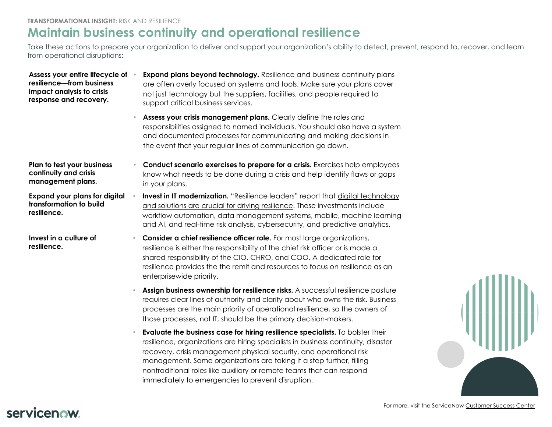## <span id="page-3-0"></span>**Maintain business continuity and operational resilience**

Take these actions to prepare your organization to deliver and support your organization's ability to detect, prevent, re from operational disruptions:

| Assess your entire lifecycle of<br>resilience-from business<br>impact analysis to crisis<br>response and recovery. |           | <b>Expand plans beyond technology.</b> Resilience and business continuity plans<br>are often overly focused on systems and tools. Make sure your plans cover<br>not just technology but the suppliers, facilities, and people required to<br>support critical business services.                                                                                                                                                                |
|--------------------------------------------------------------------------------------------------------------------|-----------|-------------------------------------------------------------------------------------------------------------------------------------------------------------------------------------------------------------------------------------------------------------------------------------------------------------------------------------------------------------------------------------------------------------------------------------------------|
|                                                                                                                    |           | Assess your crisis management plans. Clearly define the roles and<br>responsibilities assigned to named individuals. You should also have a system<br>and documented processes for communicating and making decisions in<br>the event that your regular lines of communication go down.                                                                                                                                                         |
| Plan to test your business<br>continuity and crisis<br>management plans.                                           |           | Conduct scenario exercises to prepare for a crisis. Exercises help employees<br>know what needs to be done during a crisis and help identify flaws or gaps<br>in your plans.                                                                                                                                                                                                                                                                    |
| <b>Expand your plans for digital</b><br>transformation to build<br>resilience.                                     |           | <b>Invest in IT modernization.</b> "Resilience leaders" report that digital technology<br>and solutions are crucial for driving resilience. These investments include<br>workflow automation, data management systems, mobile, machine learning<br>and AI, and real-time risk analysis, cybersecurity, and predictive analytics.                                                                                                                |
| Invest in a culture of<br>resilience.                                                                              | $\bullet$ | Consider a chief resilience officer role. For most large organizations,<br>resilience is either the responsibility of the chief risk officer or is made a<br>shared responsibility of the CIO, CHRO, and COO. A dedicated role for<br>resilience provides the the remit and resources to focus on resilience as an<br>enterprisewide priority.                                                                                                  |
|                                                                                                                    |           | Assign business ownership for resilience risks. A successful resilience posture<br>requires clear lines of authority and clarity about who owns the risk. Business<br>processes are the main priority of operational resilience, so the owners of<br>those processes, not IT, should be the primary decision-makers.                                                                                                                            |
|                                                                                                                    |           | Evaluate the business case for hiring resilience specialists. To bolster their<br>resilience, organizations are hiring specialists in business continuity, disaster<br>recovery, crisis management physical security, and operational risk<br>management. Some organizations are taking it a step further, filling<br>nontraditional roles like auxiliary or remote teams that can respond<br>immediately to emergencies to prevent disruption. |

## servicenow.